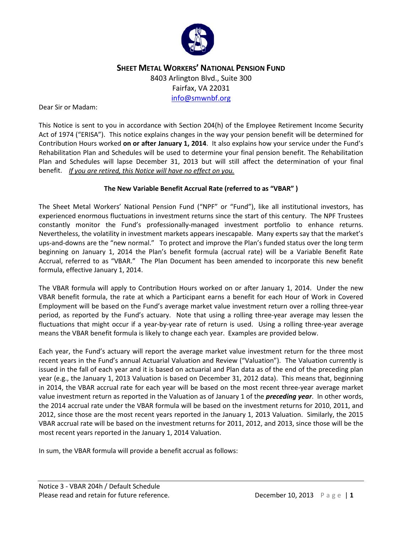

# **SHEET METAL WORKERS' NATIONAL PENSION FUND** 8403 Arlington Blvd., Suite 300 Fairfax, VA 22031 [info@smwnbf.org](mailto:info@smwnbf.org)

#### Dear Sir or Madam:

This Notice is sent to you in accordance with Section 204(h) of the Employee Retirement Income Security Act of 1974 ("ERISA"). This notice explains changes in the way your pension benefit will be determined for Contribution Hours worked **on or after January 1, 2014**. It also explains how your service under the Fund's Rehabilitation Plan and Schedules will be used to determine your final pension benefit. The Rehabilitation Plan and Schedules will lapse December 31, 2013 but will still affect the determination of your final benefit. *If you are retired, this Notice will have no effect on you.* 

## **The New Variable Benefit Accrual Rate (referred to as "VBAR" )**

The Sheet Metal Workers' National Pension Fund ("NPF" or "Fund"), like all institutional investors, has experienced enormous fluctuations in investment returns since the start of this century. The NPF Trustees constantly monitor the Fund's professionally-managed investment portfolio to enhance returns. Nevertheless, the volatility in investment markets appears inescapable. Many experts say that the market's ups-and-downs are the "new normal." To protect and improve the Plan's funded status over the long term beginning on January 1, 2014 the Plan's benefit formula (accrual rate) will be a Variable Benefit Rate Accrual, referred to as "VBAR." The Plan Document has been amended to incorporate this new benefit formula, effective January 1, 2014.

The VBAR formula will apply to Contribution Hours worked on or after January 1, 2014. Under the new VBAR benefit formula, the rate at which a Participant earns a benefit for each Hour of Work in Covered Employment will be based on the Fund's average market value investment return over a rolling three-year period, as reported by the Fund's actuary. Note that using a rolling three-year average may lessen the fluctuations that might occur if a year-by-year rate of return is used. Using a rolling three-year average means the VBAR benefit formula is likely to change each year. Examples are provided below.

Each year, the Fund's actuary will report the average market value investment return for the three most recent years in the Fund's annual Actuarial Valuation and Review ("Valuation"). The Valuation currently is issued in the fall of each year and it is based on actuarial and Plan data as of the end of the preceding plan year (e.g., the January 1, 2013 Valuation is based on December 31, 2012 data). This means that, beginning in 2014, the VBAR accrual rate for each year will be based on the most recent three-year average market value investment return as reported in the Valuation as of January 1 of the *preceding year*. In other words, the 2014 accrual rate under the VBAR formula will be based on the investment returns for 2010, 2011, and 2012, since those are the most recent years reported in the January 1, 2013 Valuation. Similarly, the 2015 VBAR accrual rate will be based on the investment returns for 2011, 2012, and 2013, since those will be the most recent years reported in the January 1, 2014 Valuation.

In sum, the VBAR formula will provide a benefit accrual as follows: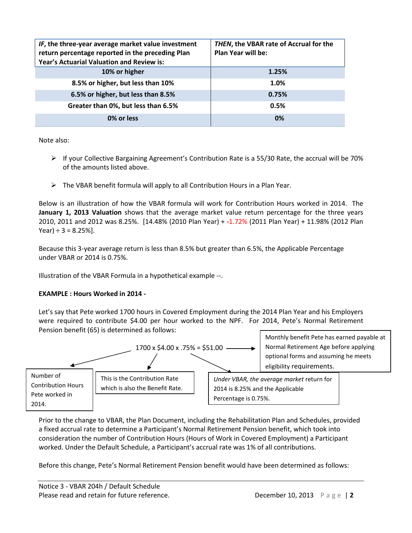| IF, the three-year average market value investment<br>return percentage reported in the preceding Plan<br>Year's Actuarial Valuation and Review is: | THEN, the VBAR rate of Accrual for the<br><b>Plan Year will be:</b> |
|-----------------------------------------------------------------------------------------------------------------------------------------------------|---------------------------------------------------------------------|
| 10% or higher                                                                                                                                       | 1.25%                                                               |
| 8.5% or higher, but less than 10%                                                                                                                   | 1.0%                                                                |
| 6.5% or higher, but less than 8.5%                                                                                                                  | 0.75%                                                               |
| Greater than 0%, but less than 6.5%                                                                                                                 | 0.5%                                                                |
| 0% or less                                                                                                                                          | 0%                                                                  |

Note also:

- $\triangleright$  If your Collective Bargaining Agreement's Contribution Rate is a 55/30 Rate, the accrual will be 70% of the amounts listed above.
- $\triangleright$  The VBAR benefit formula will apply to all Contribution Hours in a Plan Year.

Below is an illustration of how the VBAR formula will work for Contribution Hours worked in 2014. The **January 1, 2013 Valuation** shows that the average market value return percentage for the three years 2010, 2011 and 2012 was 8.25%. [14.48% (2010 Plan Year) + **-**1.72% (2011 Plan Year) + 11.98% (2012 Plan Year)  $\div$  3 = 8.25%].

Because this 3-year average return is less than 8.5% but greater than 6.5%, the Applicable Percentage under VBAR or 2014 is 0.75%.

Illustration of the VBAR Formula in a hypothetical example --.

## **EXAMPLE : Hours Worked in 2014 -**

Let's say that Pete worked 1700 hours in Covered Employment during the 2014 Plan Year and his Employers were required to contribute \$4.00 per hour worked to the NPF. For 2014, Pete's Normal Retirement Pension benefit (65) is determined as follows:



Prior to the change to VBAR, the Plan Document, including the Rehabilitation Plan and Schedules, provided a fixed accrual rate to determine a Participant's Normal Retirement Pension benefit, which took into consideration the number of Contribution Hours (Hours of Work in Covered Employment) a Participant worked. Under the Default Schedule, a Participant's accrual rate was 1% of all contributions.

Before this change, Pete's Normal Retirement Pension benefit would have been determined as follows: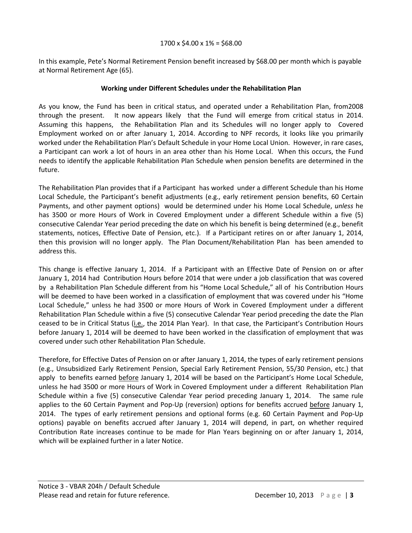In this example, Pete's Normal Retirement Pension benefit increased by \$68.00 per month which is payable at Normal Retirement Age (65).

# **Working under Different Schedules under the Rehabilitation Plan**

As you know, the Fund has been in critical status, and operated under a Rehabilitation Plan, from2008 through the present. It now appears likely that the Fund will emerge from critical status in 2014. Assuming this happens, the Rehabilitation Plan and its Schedules will no longer apply to Covered Employment worked on or after January 1, 2014. According to NPF records, it looks like you primarily worked under the Rehabilitation Plan's Default Schedule in your Home Local Union. However, in rare cases, a Participant can work a lot of hours in an area other than his Home Local. When this occurs, the Fund needs to identify the applicable Rehabilitation Plan Schedule when pension benefits are determined in the future.

The Rehabilitation Plan provides that if a Participant has worked under a different Schedule than his Home Local Schedule, the Participant's benefit adjustments (e.g., early retirement pension benefits, 60 Certain Payments, and other payment options) would be determined under his Home Local Schedule, *unless* he has 3500 or more Hours of Work in Covered Employment under a different Schedule within a five (5) consecutive Calendar Year period preceding the date on which his benefit is being determined (e.g., benefit statements, notices, Effective Date of Pension, etc.). If a Participant retires on or after January 1, 2014, then this provision will no longer apply. The Plan Document/Rehabilitation Plan has been amended to address this.

This change is effective January 1, 2014. If a Participant with an Effective Date of Pension on or after January 1, 2014 had Contribution Hours before 2014 that were under a job classification that was covered by a Rehabilitation Plan Schedule different from his "Home Local Schedule," all of his Contribution Hours will be deemed to have been worked in a classification of employment that was covered under his "Home Local Schedule," unless he had 3500 or more Hours of Work in Covered Employment under a different Rehabilitation Plan Schedule within a five (5) consecutive Calendar Year period preceding the date the Plan ceased to be in Critical Status (i.e., the 2014 Plan Year). In that case, the Participant's Contribution Hours before January 1, 2014 will be deemed to have been worked in the classification of employment that was covered under such other Rehabilitation Plan Schedule.

Therefore, for Effective Dates of Pension on or after January 1, 2014, the types of early retirement pensions (e.g., Unsubsidized Early Retirement Pension, Special Early Retirement Pension, 55/30 Pension, etc.) that apply to benefits earned before January 1, 2014 will be based on the Participant's Home Local Schedule, unless he had 3500 or more Hours of Work in Covered Employment under a different Rehabilitation Plan Schedule within a five (5) consecutive Calendar Year period preceding January 1, 2014. The same rule applies to the 60 Certain Payment and Pop-Up (reversion) options for benefits accrued before January 1, 2014. The types of early retirement pensions and optional forms (e.g. 60 Certain Payment and Pop-Up options) payable on benefits accrued after January 1, 2014 will depend, in part, on whether required Contribution Rate increases continue to be made for Plan Years beginning on or after January 1, 2014, which will be explained further in a later Notice.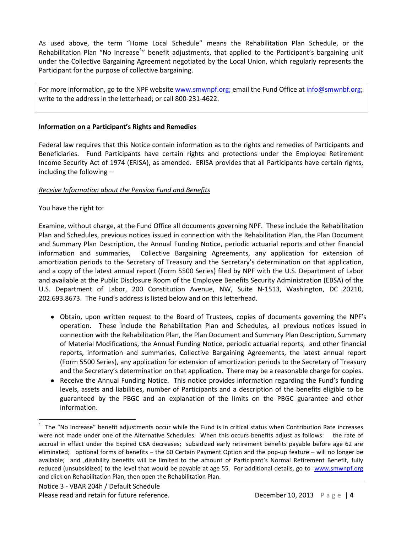As used above, the term "Home Local Schedule" means the Rehabilitation Plan Schedule, or the Rehabilitation Plan "No Increase<sup>[1](#page-3-0)</sup>" benefit adjustments, that applied to the Participant's bargaining unit under the Collective Bargaining Agreement negotiated by the Local Union, which regularly represents the Participant for the purpose of collective bargaining.

For more information, go to the NPF website [www.smwnpf.org;](http://www.smwnpf.org/) email the Fund Office a[t info@smwnbf.org;](mailto:info@smwnbf.org) write to the address in the letterhead; or call 800-231-4622.

#### **Information on a Participant's Rights and Remedies**

Federal law requires that this Notice contain information as to the rights and remedies of Participants and Beneficiaries. Fund Participants have certain rights and protections under the Employee Retirement Income Security Act of 1974 (ERISA), as amended. ERISA provides that all Participants have certain rights, including the following –

## *Receive Information about the Pension Fund and Benefits*

## You have the right to:

Examine, without charge, at the Fund Office all documents governing NPF. These include the Rehabilitation Plan and Schedules, previous notices issued in connection with the Rehabilitation Plan, the Plan Document and Summary Plan Description, the Annual Funding Notice, periodic actuarial reports and other financial information and summaries, Collective Bargaining Agreements, any application for extension of amortization periods to the Secretary of Treasury and the Secretary's determination on that application, and a copy of the latest annual report (Form 5500 Series) filed by NPF with the U.S. Department of Labor and available at the Public Disclosure Room of the Employee Benefits Security Administration (EBSA) of the U.S. Department of Labor, 200 Constitution Avenue, NW, Suite N-1513, Washington, DC 20210, 202.693.8673.The Fund's address is listed below and on this letterhead.

- Obtain, upon written request to the Board of Trustees, copies of documents governing the NPF's operation. These include the Rehabilitation Plan and Schedules, all previous notices issued in connection with the Rehabilitation Plan, the Plan Document and Summary Plan Description, Summary of Material Modifications, the Annual Funding Notice, periodic actuarial reports, and other financial reports, information and summaries, Collective Bargaining Agreements, the latest annual report (Form 5500 Series), any application for extension of amortization periods to the Secretary of Treasury and the Secretary's determination on that application. There may be a reasonable charge for copies.
- Receive the Annual Funding Notice. This notice provides information regarding the Fund's funding levels, assets and liabilities, number of Participants and a description of the benefits eligible to be guaranteed by the PBGC and an explanation of the limits on the PBGC guarantee and other information.

<span id="page-3-0"></span> $\frac{1}{1}$  $1$  The "No Increase" benefit adjustments occur while the Fund is in critical status when Contribution Rate increases were not made under one of the Alternative Schedules. When this occurs benefits adjust as follows: the rate of accrual in effect under the Expired CBA decreases; subsidized early retirement benefits payable before age 62 are eliminated; optional forms of benefits – the 60 Certain Payment Option and the pop-up feature – will no longer be available; and ,disability benefits will be limited to the amount of Participant's Normal Retirement Benefit, fully reduced (unsubsidized) to the level that would be payable at age 55. For additional details, go to [www.smwnpf.org](http://www.smwnpf.org/) and click on Rehabilitation Plan, then open the Rehabilitation Plan.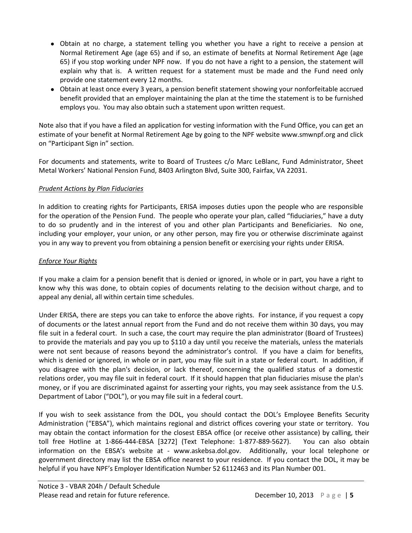- Obtain at no charge, a statement telling you whether you have a right to receive a pension at Normal Retirement Age (age 65) and if so, an estimate of benefits at Normal Retirement Age (age 65) if you stop working under NPF now. If you do not have a right to a pension, the statement will explain why that is. A written request for a statement must be made and the Fund need only provide one statement every 12 months.
- Obtain at least once every 3 years, a pension benefit statement showing your nonforfeitable accrued benefit provided that an employer maintaining the plan at the time the statement is to be furnished employs you. You may also obtain such a statement upon written request.

Note also that if you have a filed an application for vesting information with the Fund Office, you can get an estimate of your benefit at Normal Retirement Age by going to the NPF website www.smwnpf.org and click on "Participant Sign in" section.

For documents and statements, write to Board of Trustees c/o Marc LeBlanc, Fund Administrator, Sheet Metal Workers' National Pension Fund, 8403 Arlington Blvd, Suite 300, Fairfax, VA 22031.

# *Prudent Actions by Plan Fiduciaries*

In addition to creating rights for Participants, ERISA imposes duties upon the people who are responsible for the operation of the Pension Fund. The people who operate your plan, called "fiduciaries," have a duty to do so prudently and in the interest of you and other plan Participants and Beneficiaries. No one, including your employer, your union, or any other person, may fire you or otherwise discriminate against you in any way to prevent you from obtaining a pension benefit or exercising your rights under ERISA.

# *Enforce Your Rights*

If you make a claim for a pension benefit that is denied or ignored, in whole or in part, you have a right to know why this was done, to obtain copies of documents relating to the decision without charge, and to appeal any denial, all within certain time schedules.

Under ERISA, there are steps you can take to enforce the above rights. For instance, if you request a copy of documents or the latest annual report from the Fund and do not receive them within 30 days, you may file suit in a federal court. In such a case, the court may require the plan administrator (Board of Trustees) to provide the materials and pay you up to \$110 a day until you receive the materials, unless the materials were not sent because of reasons beyond the administrator's control. If you have a claim for benefits, which is denied or ignored, in whole or in part, you may file suit in a state or federal court. In addition, if you disagree with the plan's decision, or lack thereof, concerning the qualified status of a domestic relations order, you may file suit in federal court. If it should happen that plan fiduciaries misuse the plan's money, or if you are discriminated against for asserting your rights, you may seek assistance from the U.S. Department of Labor ("DOL"), or you may file suit in a federal court.

If you wish to seek assistance from the DOL, you should contact the DOL's Employee Benefits Security Administration ("EBSA"), which maintains regional and district offices covering your state or territory. You may obtain the contact information for the closest EBSA office (or receive other assistance) by calling, their toll free Hotline at 1-866-444-EBSA [3272] (Text Telephone: 1-877-889-5627). You can also obtain information on the EBSA's website at - www.askebsa.dol.gov. Additionally, your local telephone or government directory may list the EBSA office nearest to your residence. If you contact the DOL, it may be helpful if you have NPF's Employer Identification Number 52 6112463 and its Plan Number 001.